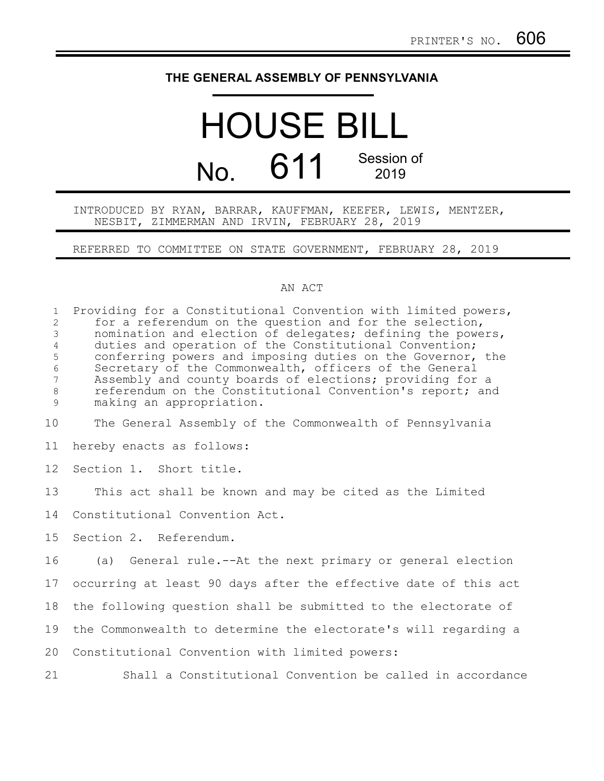## **THE GENERAL ASSEMBLY OF PENNSYLVANIA**

## HOUSE BILL No. 611 Session of 2019

## INTRODUCED BY RYAN, BARRAR, KAUFFMAN, KEEFER, LEWIS, MENTZER, NESBIT, ZIMMERMAN AND IRVIN, FEBRUARY 28, 2019

REFERRED TO COMMITTEE ON STATE GOVERNMENT, FEBRUARY 28, 2019

## AN ACT

| $\mathbf{1}$<br>$\overline{2}$<br>$\mathfrak{Z}$<br>$\overline{4}$<br>5<br>$\sqrt{6}$<br>$\overline{7}$<br>$\,8\,$<br>$\mathsf 9$ | Providing for a Constitutional Convention with limited powers,<br>for a referendum on the question and for the selection,<br>nomination and election of delegates; defining the powers,<br>duties and operation of the Constitutional Convention;<br>conferring powers and imposing duties on the Governor, the<br>Secretary of the Commonwealth, officers of the General<br>Assembly and county boards of elections; providing for a<br>referendum on the Constitutional Convention's report; and<br>making an appropriation. |
|-----------------------------------------------------------------------------------------------------------------------------------|--------------------------------------------------------------------------------------------------------------------------------------------------------------------------------------------------------------------------------------------------------------------------------------------------------------------------------------------------------------------------------------------------------------------------------------------------------------------------------------------------------------------------------|
| 10                                                                                                                                | The General Assembly of the Commonwealth of Pennsylvania                                                                                                                                                                                                                                                                                                                                                                                                                                                                       |
| 11                                                                                                                                | hereby enacts as follows:                                                                                                                                                                                                                                                                                                                                                                                                                                                                                                      |
| 12                                                                                                                                | Section 1. Short title.                                                                                                                                                                                                                                                                                                                                                                                                                                                                                                        |
| 13                                                                                                                                | This act shall be known and may be cited as the Limited                                                                                                                                                                                                                                                                                                                                                                                                                                                                        |
| 14                                                                                                                                | Constitutional Convention Act.                                                                                                                                                                                                                                                                                                                                                                                                                                                                                                 |
| 15                                                                                                                                | Section 2. Referendum.                                                                                                                                                                                                                                                                                                                                                                                                                                                                                                         |
| 16                                                                                                                                | (a) General rule.--At the next primary or general election                                                                                                                                                                                                                                                                                                                                                                                                                                                                     |
| 17                                                                                                                                | occurring at least 90 days after the effective date of this act                                                                                                                                                                                                                                                                                                                                                                                                                                                                |
| 18                                                                                                                                | the following question shall be submitted to the electorate of                                                                                                                                                                                                                                                                                                                                                                                                                                                                 |
| 19                                                                                                                                | the Commonwealth to determine the electorate's will regarding a                                                                                                                                                                                                                                                                                                                                                                                                                                                                |
| 20                                                                                                                                | Constitutional Convention with limited powers:                                                                                                                                                                                                                                                                                                                                                                                                                                                                                 |
| 21                                                                                                                                | Shall a Constitutional Convention be called in accordance                                                                                                                                                                                                                                                                                                                                                                                                                                                                      |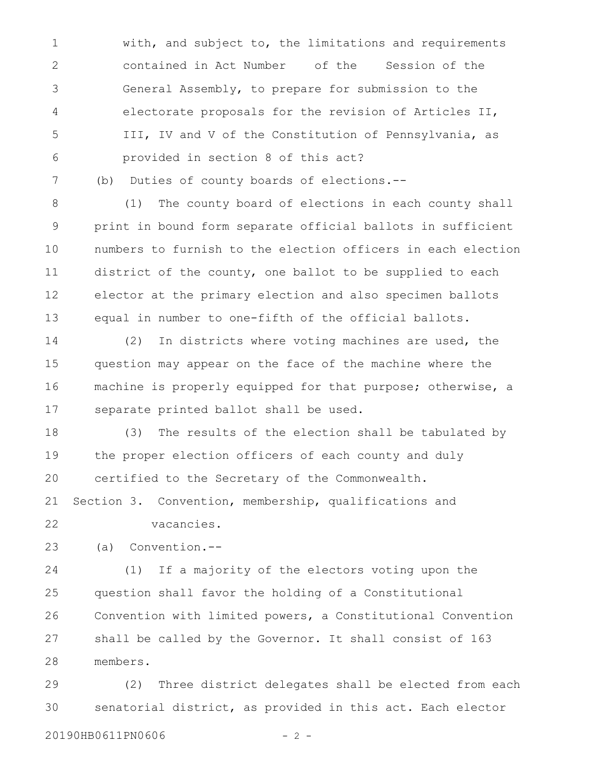with, and subject to, the limitations and requirements contained in Act Number of the Session of the General Assembly, to prepare for submission to the electorate proposals for the revision of Articles II, III, IV and V of the Constitution of Pennsylvania, as provided in section 8 of this act? 1 2 3 4 5 6

(b) Duties of county boards of elections.--

(1) The county board of elections in each county shall print in bound form separate official ballots in sufficient numbers to furnish to the election officers in each election district of the county, one ballot to be supplied to each elector at the primary election and also specimen ballots equal in number to one-fifth of the official ballots. 8 9 10 11 12 13

(2) In districts where voting machines are used, the question may appear on the face of the machine where the machine is properly equipped for that purpose; otherwise, a separate printed ballot shall be used. 14 15 16 17

(3) The results of the election shall be tabulated by the proper election officers of each county and duly certified to the Secretary of the Commonwealth. 18 19 20

Section 3. Convention, membership, qualifications and 21

22

7

vacancies.

(a) Convention.-- 23

(1) If a majority of the electors voting upon the question shall favor the holding of a Constitutional Convention with limited powers, a Constitutional Convention shall be called by the Governor. It shall consist of 163 members. 24 25 26 27 28

(2) Three district delegates shall be elected from each senatorial district, as provided in this act. Each elector 29 30

20190HB0611PN0606 - 2 -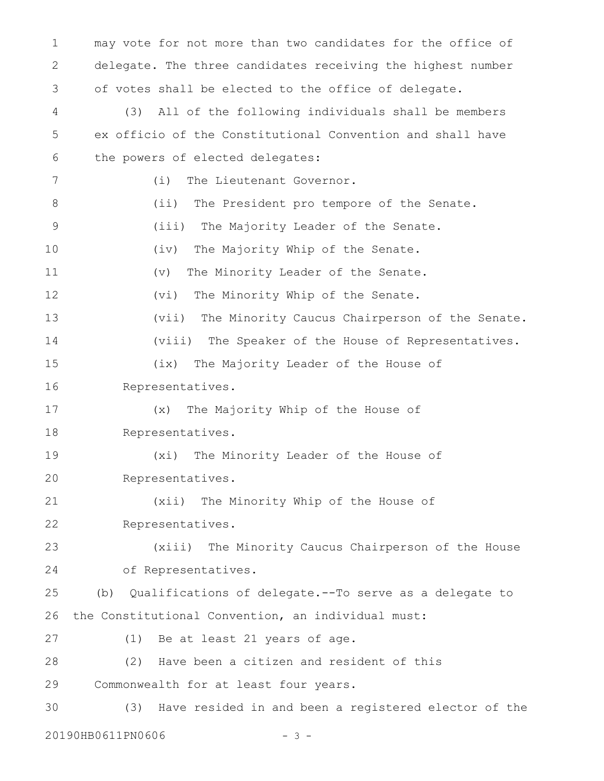may vote for not more than two candidates for the office of delegate. The three candidates receiving the highest number of votes shall be elected to the office of delegate. (3) All of the following individuals shall be members ex officio of the Constitutional Convention and shall have the powers of elected delegates: (i) The Lieutenant Governor. (ii) The President pro tempore of the Senate. (iii) The Majority Leader of the Senate. (iv) The Majority Whip of the Senate. (v) The Minority Leader of the Senate. (vi) The Minority Whip of the Senate. (vii) The Minority Caucus Chairperson of the Senate. (viii) The Speaker of the House of Representatives. (ix) The Majority Leader of the House of Representatives. (x) The Majority Whip of the House of Representatives. (xi) The Minority Leader of the House of Representatives. (xii) The Minority Whip of the House of Representatives. (xiii) The Minority Caucus Chairperson of the House of Representatives. (b) Qualifications of delegate.--To serve as a delegate to the Constitutional Convention, an individual must: (1) Be at least 21 years of age. (2) Have been a citizen and resident of this Commonwealth for at least four years. (3) Have resided in and been a registered elector of the 1 2 3 4 5 6 7 8 9 10 11 12 13 14 15 16 17 18 19 20 21 22 23 24 25 26 27 28 29 30

20190HB0611PN0606 - 3 -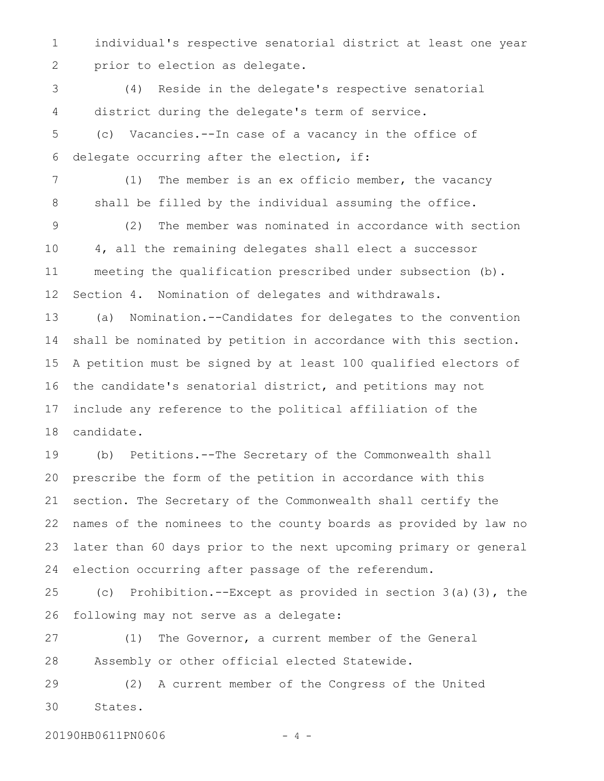individual's respective senatorial district at least one year prior to election as delegate. 1 2

(4) Reside in the delegate's respective senatorial district during the delegate's term of service. 3 4

(c) Vacancies.--In case of a vacancy in the office of delegate occurring after the election, if: 5 6

(1) The member is an ex officio member, the vacancy shall be filled by the individual assuming the office. 7 8

(2) The member was nominated in accordance with section 4, all the remaining delegates shall elect a successor meeting the qualification prescribed under subsection (b). Section 4. Nomination of delegates and withdrawals. 9 10 11 12

(a) Nomination.--Candidates for delegates to the convention shall be nominated by petition in accordance with this section. A petition must be signed by at least 100 qualified electors of the candidate's senatorial district, and petitions may not include any reference to the political affiliation of the candidate. 13 14 15 16 17 18

(b) Petitions.--The Secretary of the Commonwealth shall prescribe the form of the petition in accordance with this section. The Secretary of the Commonwealth shall certify the names of the nominees to the county boards as provided by law no later than 60 days prior to the next upcoming primary or general election occurring after passage of the referendum. 19 20 21 22 23 24

(c) Prohibition.--Except as provided in section 3(a)(3), the following may not serve as a delegate: 25 26

(1) The Governor, a current member of the General Assembly or other official elected Statewide. 27 28

(2) A current member of the Congress of the United States. 29 30

20190HB0611PN0606 - 4 -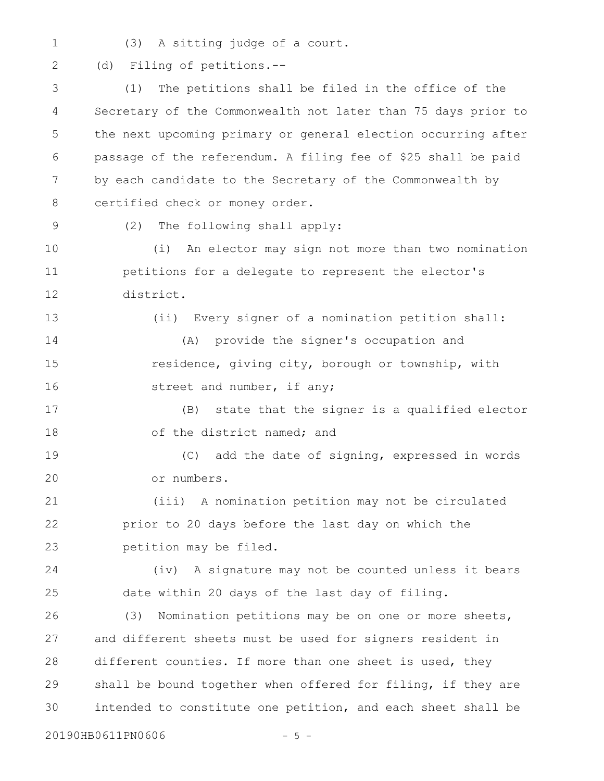(3) A sitting judge of a court. 1

(d) Filing of petitions.-- 2

(1) The petitions shall be filed in the office of the Secretary of the Commonwealth not later than 75 days prior to the next upcoming primary or general election occurring after passage of the referendum. A filing fee of \$25 shall be paid by each candidate to the Secretary of the Commonwealth by certified check or money order. (2) The following shall apply: (i) An elector may sign not more than two nomination petitions for a delegate to represent the elector's district. (ii) Every signer of a nomination petition shall: (A) provide the signer's occupation and residence, giving city, borough or township, with street and number, if any; (B) state that the signer is a qualified elector of the district named; and (C) add the date of signing, expressed in words or numbers. (iii) A nomination petition may not be circulated prior to 20 days before the last day on which the petition may be filed. (iv) A signature may not be counted unless it bears date within 20 days of the last day of filing. (3) Nomination petitions may be on one or more sheets, and different sheets must be used for signers resident in different counties. If more than one sheet is used, they shall be bound together when offered for filing, if they are intended to constitute one petition, and each sheet shall be 3 4 5 6 7 8 9 10 11 12 13 14 15 16 17 18 19 20 21 22 23 24 25 26 27 28 29 30

20190HB0611PN0606 - 5 -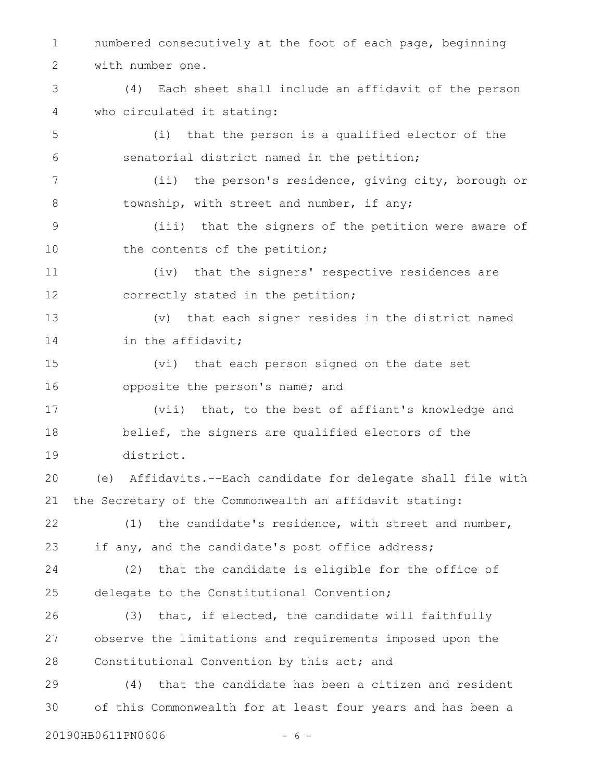numbered consecutively at the foot of each page, beginning with number one. 1 2

(4) Each sheet shall include an affidavit of the person who circulated it stating: 3 4

(i) that the person is a qualified elector of the senatorial district named in the petition; 5 6

(ii) the person's residence, giving city, borough or township, with street and number, if any; 7 8

(iii) that the signers of the petition were aware of the contents of the petition; 9 10

(iv) that the signers' respective residences are correctly stated in the petition; 11 12

(v) that each signer resides in the district named in the affidavit; 13 14

(vi) that each person signed on the date set opposite the person's name; and 15 16

(vii) that, to the best of affiant's knowledge and belief, the signers are qualified electors of the district. 17 18 19

(e) Affidavits.--Each candidate for delegate shall file with the Secretary of the Commonwealth an affidavit stating: 20 21

(1) the candidate's residence, with street and number, if any, and the candidate's post office address; 22 23

(2) that the candidate is eligible for the office of delegate to the Constitutional Convention; 24 25

(3) that, if elected, the candidate will faithfully observe the limitations and requirements imposed upon the Constitutional Convention by this act; and 26 27 28

(4) that the candidate has been a citizen and resident of this Commonwealth for at least four years and has been a 29 30

20190HB0611PN0606 - 6 -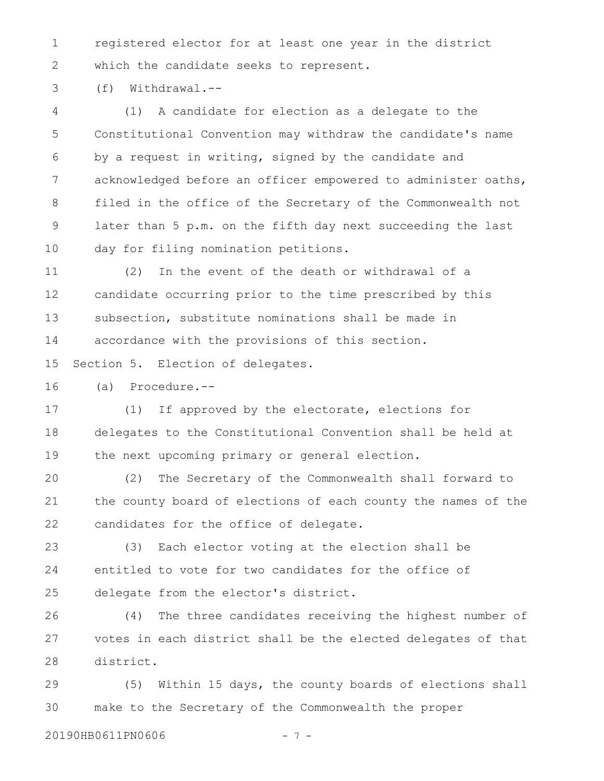registered elector for at least one year in the district which the candidate seeks to represent. 1 2

(f) Withdrawal.-- 3

(1) A candidate for election as a delegate to the Constitutional Convention may withdraw the candidate's name by a request in writing, signed by the candidate and acknowledged before an officer empowered to administer oaths, filed in the office of the Secretary of the Commonwealth not later than 5 p.m. on the fifth day next succeeding the last day for filing nomination petitions. 4 5 6 7 8 9 10

(2) In the event of the death or withdrawal of a candidate occurring prior to the time prescribed by this subsection, substitute nominations shall be made in accordance with the provisions of this section. 11 12 13 14

Section 5. Election of delegates. 15

(a) Procedure.-- 16

(1) If approved by the electorate, elections for delegates to the Constitutional Convention shall be held at the next upcoming primary or general election. 17 18 19

(2) The Secretary of the Commonwealth shall forward to the county board of elections of each county the names of the candidates for the office of delegate. 20 21 22

(3) Each elector voting at the election shall be entitled to vote for two candidates for the office of delegate from the elector's district. 23 24 25

(4) The three candidates receiving the highest number of votes in each district shall be the elected delegates of that district. 26 27 28

(5) Within 15 days, the county boards of elections shall make to the Secretary of the Commonwealth the proper 29 30

20190HB0611PN0606 - 7 -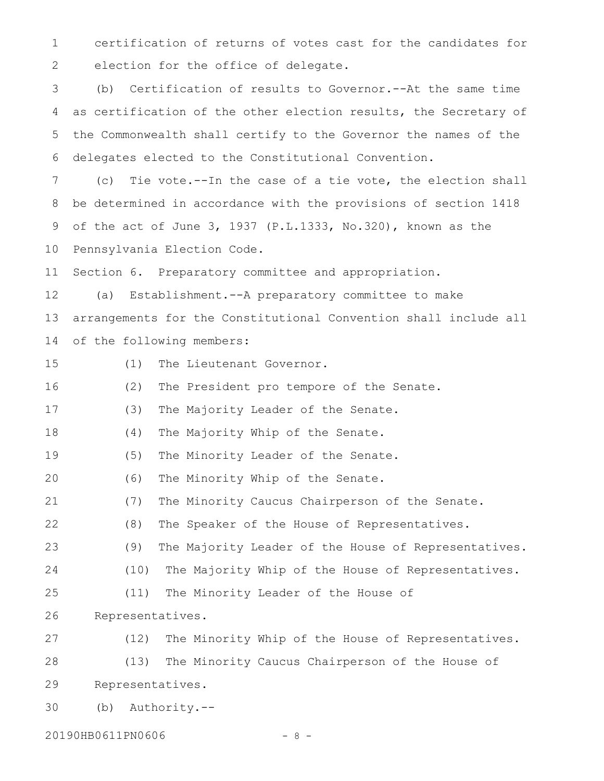certification of returns of votes cast for the candidates for election for the office of delegate. 1 2

(b) Certification of results to Governor.--At the same time as certification of the other election results, the Secretary of the Commonwealth shall certify to the Governor the names of the delegates elected to the Constitutional Convention. 3 4 5 6

(c) Tie vote.--In the case of a tie vote, the election shall be determined in accordance with the provisions of section 1418 of the act of June 3, 1937 (P.L.1333, No.320), known as the Pennsylvania Election Code. 7 8 9 10

Section 6. Preparatory committee and appropriation. 11

(a) Establishment.--A preparatory committee to make arrangements for the Constitutional Convention shall include all of the following members: 12 13 14

15

(1) The Lieutenant Governor.

(2) The President pro tempore of the Senate. 16

(3) The Majority Leader of the Senate. 17

(4) The Majority Whip of the Senate. 18

(5) The Minority Leader of the Senate. 19

(6) The Minority Whip of the Senate. 20

(7) The Minority Caucus Chairperson of the Senate. 21

(8) The Speaker of the House of Representatives. 22

(9) The Majority Leader of the House of Representatives. 23

- (10) The Majority Whip of the House of Representatives. 24
- (11) The Minority Leader of the House of 25

Representatives. 26

(12) The Minority Whip of the House of Representatives. (13) The Minority Caucus Chairperson of the House of Representatives. 27 28 29

(b) Authority.-- 30

20190HB0611PN0606 - 8 -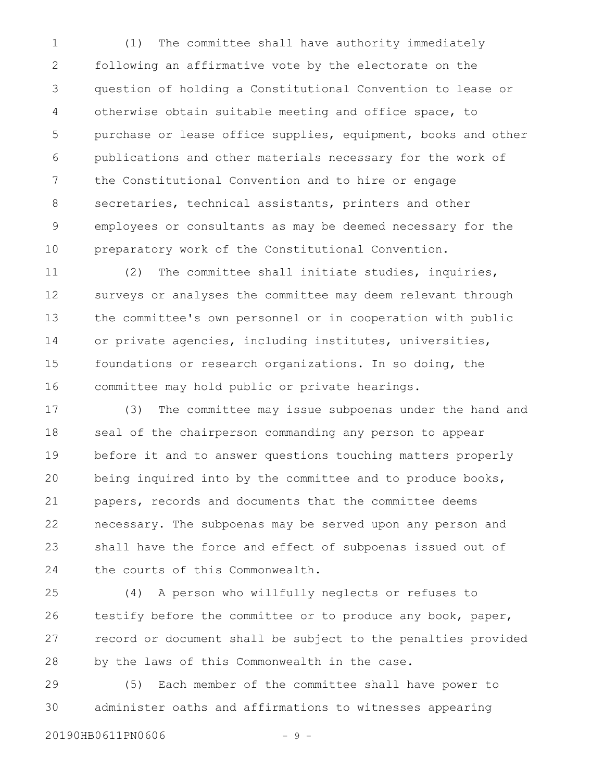(1) The committee shall have authority immediately following an affirmative vote by the electorate on the question of holding a Constitutional Convention to lease or otherwise obtain suitable meeting and office space, to purchase or lease office supplies, equipment, books and other publications and other materials necessary for the work of the Constitutional Convention and to hire or engage secretaries, technical assistants, printers and other employees or consultants as may be deemed necessary for the preparatory work of the Constitutional Convention. 1 2 3 4 5 6 7 8 9 10

(2) The committee shall initiate studies, inquiries, surveys or analyses the committee may deem relevant through the committee's own personnel or in cooperation with public or private agencies, including institutes, universities, foundations or research organizations. In so doing, the committee may hold public or private hearings. 11 12 13 14 15 16

(3) The committee may issue subpoenas under the hand and seal of the chairperson commanding any person to appear before it and to answer questions touching matters properly being inquired into by the committee and to produce books, papers, records and documents that the committee deems necessary. The subpoenas may be served upon any person and shall have the force and effect of subpoenas issued out of the courts of this Commonwealth. 17 18 19 20 21 22 23 24

(4) A person who willfully neglects or refuses to testify before the committee or to produce any book, paper, record or document shall be subject to the penalties provided by the laws of this Commonwealth in the case. 25 26 27 28

(5) Each member of the committee shall have power to administer oaths and affirmations to witnesses appearing 29 30

20190HB0611PN0606 - 9 -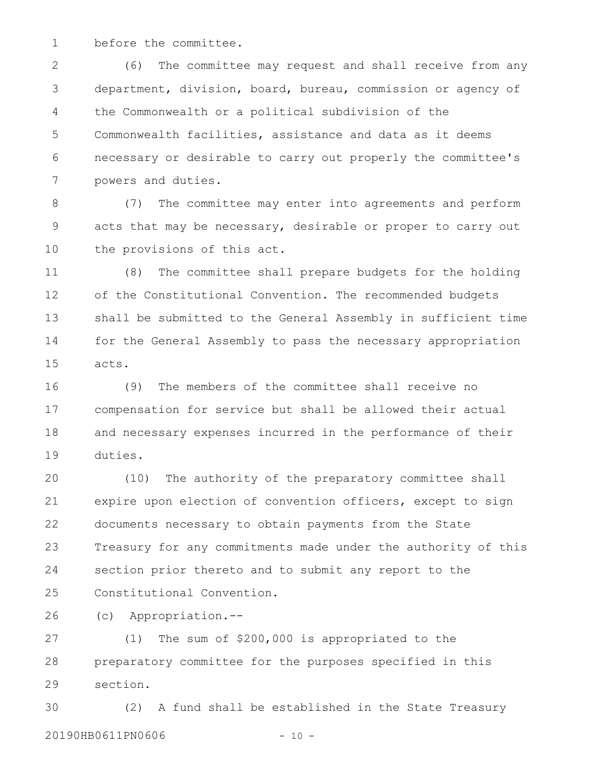before the committee. 1

(6) The committee may request and shall receive from any department, division, board, bureau, commission or agency of the Commonwealth or a political subdivision of the Commonwealth facilities, assistance and data as it deems necessary or desirable to carry out properly the committee's powers and duties. 2 3 4 5 6 7

(7) The committee may enter into agreements and perform acts that may be necessary, desirable or proper to carry out the provisions of this act. 8 9 10

(8) The committee shall prepare budgets for the holding of the Constitutional Convention. The recommended budgets shall be submitted to the General Assembly in sufficient time for the General Assembly to pass the necessary appropriation acts. 11 12 13 14 15

(9) The members of the committee shall receive no compensation for service but shall be allowed their actual and necessary expenses incurred in the performance of their duties. 16 17 18 19

(10) The authority of the preparatory committee shall expire upon election of convention officers, except to sign documents necessary to obtain payments from the State Treasury for any commitments made under the authority of this section prior thereto and to submit any report to the Constitutional Convention. 20 21 22 23 24 25

(c) Appropriation.-- 26

(1) The sum of \$200,000 is appropriated to the preparatory committee for the purposes specified in this section. 27 28 29

(2) A fund shall be established in the State Treasury 20190HB0611PN0606 - 10 -30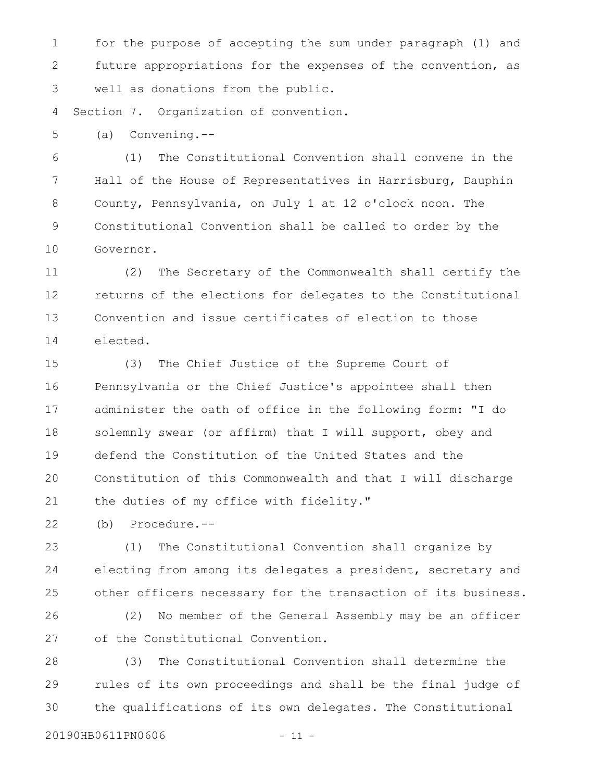for the purpose of accepting the sum under paragraph (1) and future appropriations for the expenses of the convention, as well as donations from the public. 1 2 3

Section 7. Organization of convention. 4

(a) Convening.-- 5

(1) The Constitutional Convention shall convene in the Hall of the House of Representatives in Harrisburg, Dauphin County, Pennsylvania, on July 1 at 12 o'clock noon. The Constitutional Convention shall be called to order by the Governor. 6 7 8 9 10

(2) The Secretary of the Commonwealth shall certify the returns of the elections for delegates to the Constitutional Convention and issue certificates of election to those elected. 11 12 13 14

(3) The Chief Justice of the Supreme Court of Pennsylvania or the Chief Justice's appointee shall then administer the oath of office in the following form: "I do solemnly swear (or affirm) that I will support, obey and defend the Constitution of the United States and the Constitution of this Commonwealth and that I will discharge the duties of my office with fidelity." 15 16 17 18 19 20 21

(b) Procedure.-- 22

(1) The Constitutional Convention shall organize by electing from among its delegates a president, secretary and other officers necessary for the transaction of its business. 23 24 25

(2) No member of the General Assembly may be an officer of the Constitutional Convention. 26 27

(3) The Constitutional Convention shall determine the rules of its own proceedings and shall be the final judge of the qualifications of its own delegates. The Constitutional 28 29 30

20190HB0611PN0606 - 11 -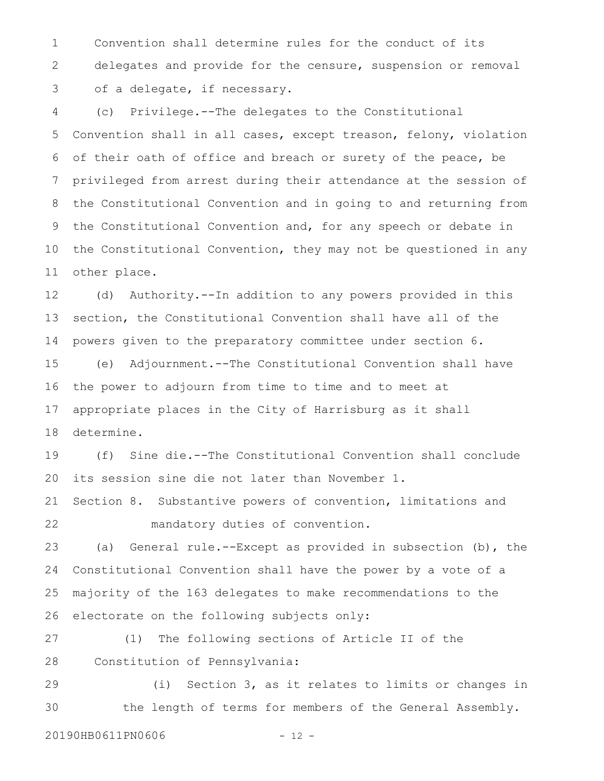Convention shall determine rules for the conduct of its delegates and provide for the censure, suspension or removal of a delegate, if necessary. 1 2 3

(c) Privilege.--The delegates to the Constitutional Convention shall in all cases, except treason, felony, violation of their oath of office and breach or surety of the peace, be privileged from arrest during their attendance at the session of the Constitutional Convention and in going to and returning from the Constitutional Convention and, for any speech or debate in the Constitutional Convention, they may not be questioned in any other place. 4 5 6 7 8 9 10 11

(d) Authority.--In addition to any powers provided in this section, the Constitutional Convention shall have all of the powers given to the preparatory committee under section 6. 12 13 14

(e) Adjournment.--The Constitutional Convention shall have the power to adjourn from time to time and to meet at appropriate places in the City of Harrisburg as it shall determine. 15 16 17 18

(f) Sine die.--The Constitutional Convention shall conclude its session sine die not later than November 1. 19 20

Section 8. Substantive powers of convention, limitations and mandatory duties of convention. 21 22

(a) General rule.--Except as provided in subsection (b), the Constitutional Convention shall have the power by a vote of a majority of the 163 delegates to make recommendations to the electorate on the following subjects only: 23 24 25 26

(1) The following sections of Article II of the Constitution of Pennsylvania: 27 28

(i) Section 3, as it relates to limits or changes in the length of terms for members of the General Assembly. 29 30

20190HB0611PN0606 - 12 -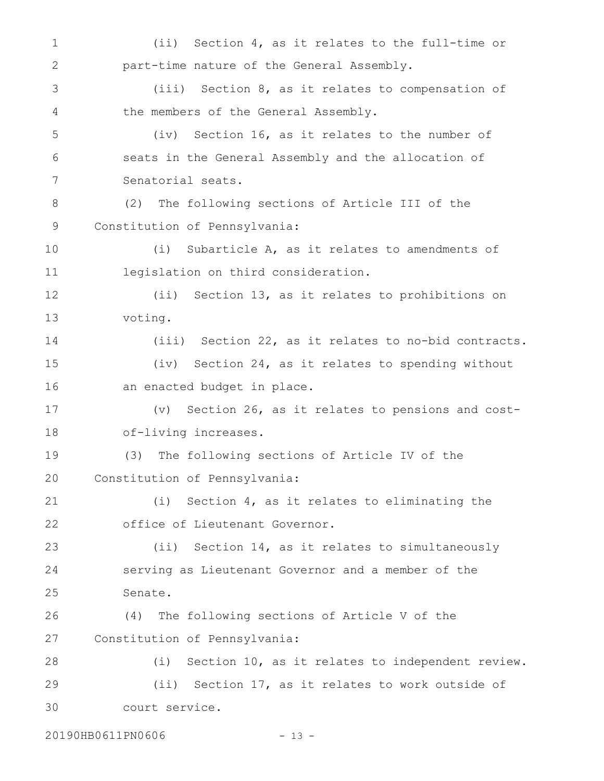(ii) Section 4, as it relates to the full-time or part-time nature of the General Assembly. (iii) Section 8, as it relates to compensation of the members of the General Assembly. (iv) Section 16, as it relates to the number of seats in the General Assembly and the allocation of Senatorial seats. (2) The following sections of Article III of the Constitution of Pennsylvania: (i) Subarticle A, as it relates to amendments of legislation on third consideration. (ii) Section 13, as it relates to prohibitions on voting. (iii) Section 22, as it relates to no-bid contracts. (iv) Section 24, as it relates to spending without an enacted budget in place. (v) Section 26, as it relates to pensions and costof-living increases. (3) The following sections of Article IV of the Constitution of Pennsylvania: (i) Section 4, as it relates to eliminating the office of Lieutenant Governor. (ii) Section 14, as it relates to simultaneously serving as Lieutenant Governor and a member of the Senate. (4) The following sections of Article V of the Constitution of Pennsylvania: (i) Section 10, as it relates to independent review. (ii) Section 17, as it relates to work outside of court service. 1 2 3 4 5 6 7 8 9 10 11 12 13 14 15 16 17 18 19 20 21 22 23 24 25 26 27 28 29 30

20190HB0611PN0606 - 13 -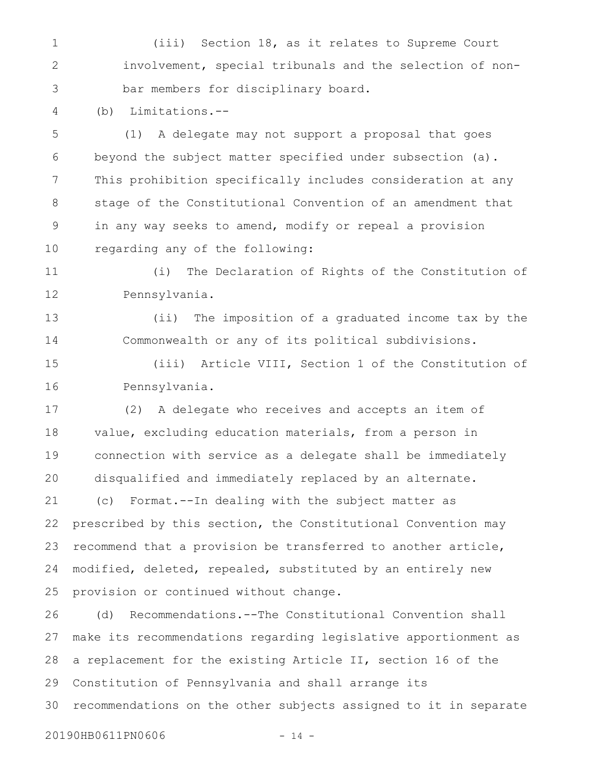(iii) Section 18, as it relates to Supreme Court involvement, special tribunals and the selection of nonbar members for disciplinary board. 1 2 3

(b) Limitations.-- 4

(1) A delegate may not support a proposal that goes beyond the subject matter specified under subsection (a). This prohibition specifically includes consideration at any stage of the Constitutional Convention of an amendment that in any way seeks to amend, modify or repeal a provision regarding any of the following: 5 6 7 8 9 10

(i) The Declaration of Rights of the Constitution of Pennsylvania. 11 12

(ii) The imposition of a graduated income tax by the Commonwealth or any of its political subdivisions. 13 14

(iii) Article VIII, Section 1 of the Constitution of Pennsylvania. 15 16

(2) A delegate who receives and accepts an item of value, excluding education materials, from a person in connection with service as a delegate shall be immediately disqualified and immediately replaced by an alternate. (c) Format.--In dealing with the subject matter as prescribed by this section, the Constitutional Convention may 17 18 19 20 21 22

recommend that a provision be transferred to another article, modified, deleted, repealed, substituted by an entirely new provision or continued without change. 23 24 25

(d) Recommendations.--The Constitutional Convention shall make its recommendations regarding legislative apportionment as a replacement for the existing Article II, section 16 of the Constitution of Pennsylvania and shall arrange its recommendations on the other subjects assigned to it in separate 26 27 28 29 30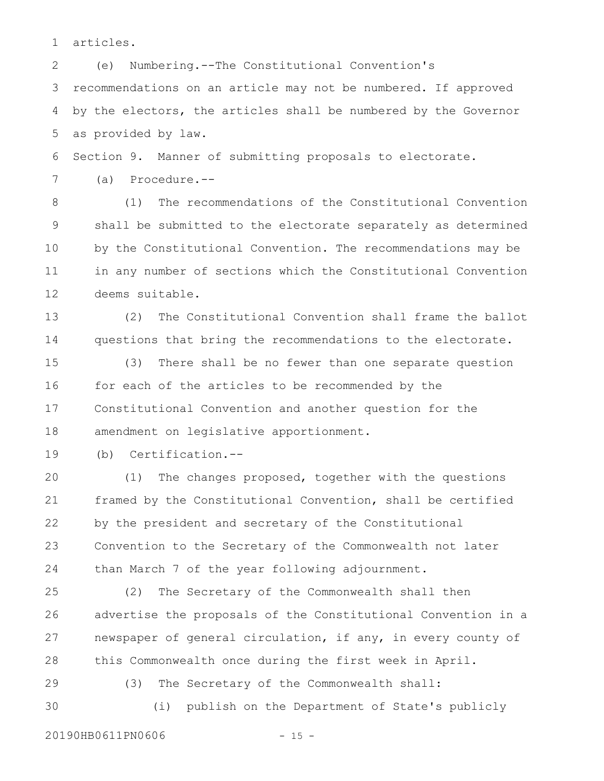articles. 1

(e) Numbering.--The Constitutional Convention's recommendations on an article may not be numbered. If approved by the electors, the articles shall be numbered by the Governor as provided by law. 2 3 4 5

Section 9. Manner of submitting proposals to electorate. 6

(a) Procedure.-- 7

(1) The recommendations of the Constitutional Convention shall be submitted to the electorate separately as determined by the Constitutional Convention. The recommendations may be in any number of sections which the Constitutional Convention deems suitable. 8 9 10 11 12

(2) The Constitutional Convention shall frame the ballot questions that bring the recommendations to the electorate. 13 14

(3) There shall be no fewer than one separate question for each of the articles to be recommended by the Constitutional Convention and another question for the amendment on legislative apportionment. 15 16 17 18

(b) Certification.-- 19

(1) The changes proposed, together with the questions framed by the Constitutional Convention, shall be certified by the president and secretary of the Constitutional Convention to the Secretary of the Commonwealth not later than March 7 of the year following adjournment. 20 21 22 23 24

(2) The Secretary of the Commonwealth shall then advertise the proposals of the Constitutional Convention in a newspaper of general circulation, if any, in every county of this Commonwealth once during the first week in April. 25 26 27 28

(3) The Secretary of the Commonwealth shall:

30

29

20190HB0611PN0606 - 15 -

(i) publish on the Department of State's publicly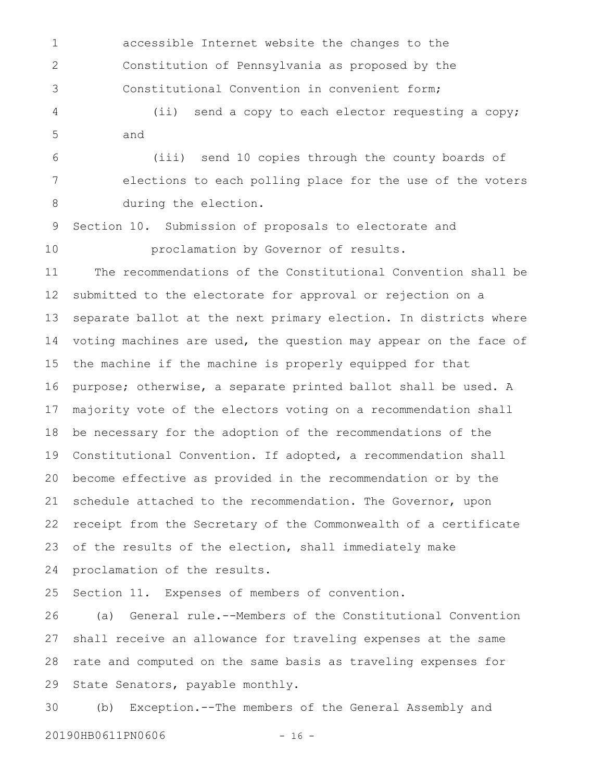accessible Internet website the changes to the Constitution of Pennsylvania as proposed by the Constitutional Convention in convenient form; 1 2 3

(ii) send a copy to each elector requesting a copy; and 4 5

(iii) send 10 copies through the county boards of elections to each polling place for the use of the voters during the election. 6 7 8

Section 10. Submission of proposals to electorate and proclamation by Governor of results. 9 10

The recommendations of the Constitutional Convention shall be submitted to the electorate for approval or rejection on a separate ballot at the next primary election. In districts where voting machines are used, the question may appear on the face of the machine if the machine is properly equipped for that purpose; otherwise, a separate printed ballot shall be used. A majority vote of the electors voting on a recommendation shall be necessary for the adoption of the recommendations of the Constitutional Convention. If adopted, a recommendation shall become effective as provided in the recommendation or by the schedule attached to the recommendation. The Governor, upon receipt from the Secretary of the Commonwealth of a certificate of the results of the election, shall immediately make proclamation of the results. 11 12 13 14 15 16 17 18 19 20 21 22 23 24

Section 11. Expenses of members of convention. 25

(a) General rule.--Members of the Constitutional Convention shall receive an allowance for traveling expenses at the same rate and computed on the same basis as traveling expenses for State Senators, payable monthly. 26 27 28 29

(b) Exception.--The members of the General Assembly and 20190HB0611PN0606 - 16 -30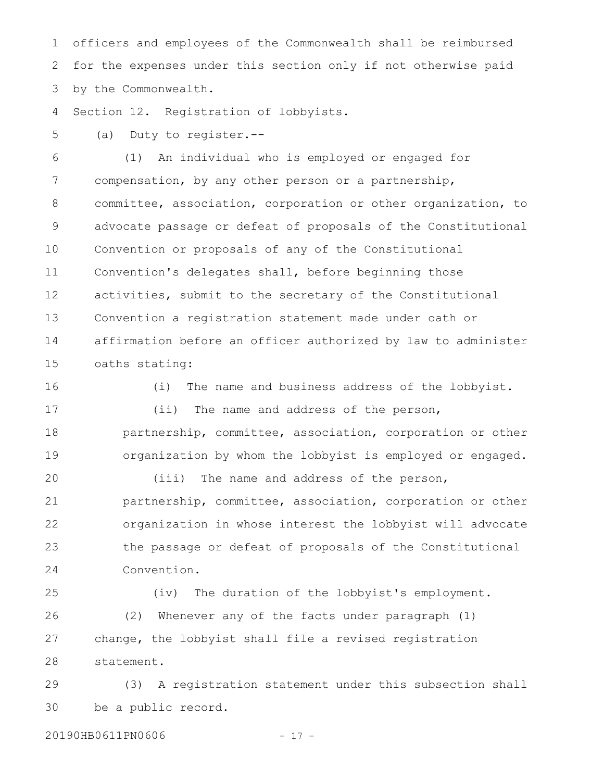officers and employees of the Commonwealth shall be reimbursed for the expenses under this section only if not otherwise paid by the Commonwealth. 1 2 3

Section 12. Registration of lobbyists. 4

(a) Duty to register.-- 5

(1) An individual who is employed or engaged for compensation, by any other person or a partnership, committee, association, corporation or other organization, to advocate passage or defeat of proposals of the Constitutional Convention or proposals of any of the Constitutional Convention's delegates shall, before beginning those activities, submit to the secretary of the Constitutional Convention a registration statement made under oath or affirmation before an officer authorized by law to administer oaths stating: 6 7 8 9 10 11 12 13 14 15

(i) The name and business address of the lobbyist. (ii) The name and address of the person, partnership, committee, association, corporation or other organization by whom the lobbyist is employed or engaged. (iii) The name and address of the person, partnership, committee, association, corporation or other organization in whose interest the lobbyist will advocate the passage or defeat of proposals of the Constitutional 16 17 18 19 20 21 22 23

Convention. (iv) The duration of the lobbyist's employment. (2) Whenever any of the facts under paragraph (1) change, the lobbyist shall file a revised registration 24 25 26 27 28

(3) A registration statement under this subsection shall be a public record. 29 30

20190HB0611PN0606 - 17 -

statement.